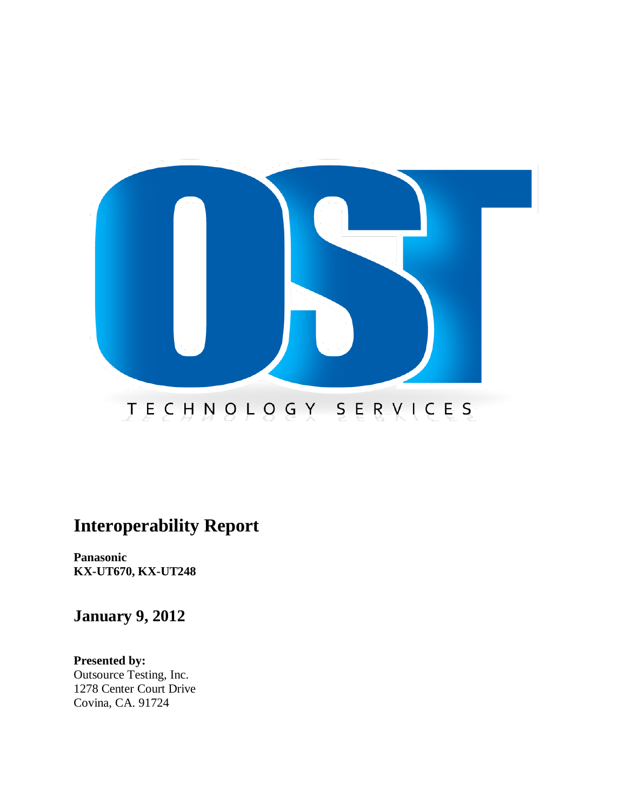

# **Interoperability Report**

**Panasonic KX-UT670, KX-UT248**

**January 9, 2012**

**Presented by:** Outsource Testing, Inc. 1278 Center Court Drive Covina, CA. 91724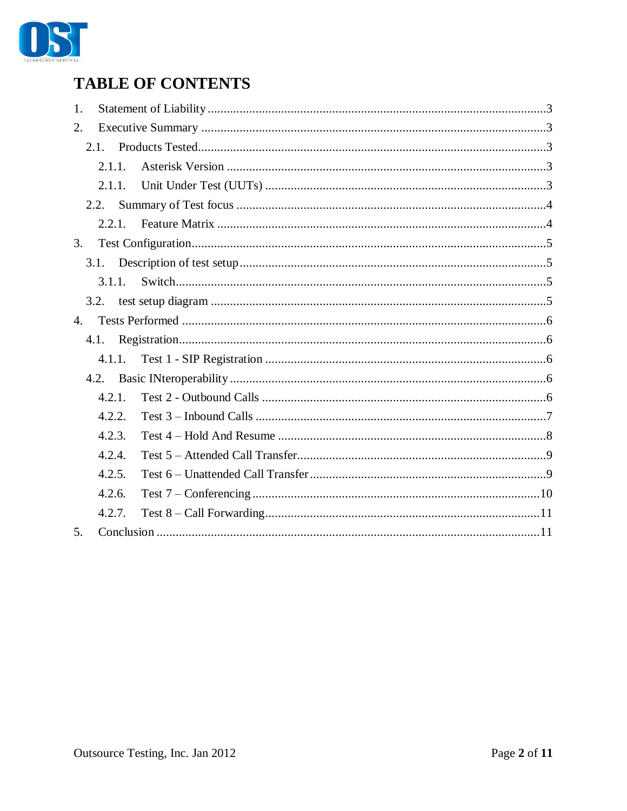

# **TABLE OF CONTENTS**

| 1. |        |  |
|----|--------|--|
| 2. |        |  |
|    | 2.1.   |  |
|    | 2.1.1. |  |
|    | 2.1.1. |  |
|    | 2.2.   |  |
|    | 2.2.1. |  |
| 3. |        |  |
|    | 3.1.   |  |
|    | 3.1.1. |  |
|    | 3.2.   |  |
| 4. |        |  |
|    | 4.1.   |  |
|    | 4.1.1. |  |
|    | 4.2.   |  |
|    | 4.2.1. |  |
|    | 4.2.2. |  |
|    | 4.2.3. |  |
|    | 4.2.4. |  |
|    | 4.2.5. |  |
|    | 4.2.6. |  |
|    | 4.2.7. |  |
| 5. |        |  |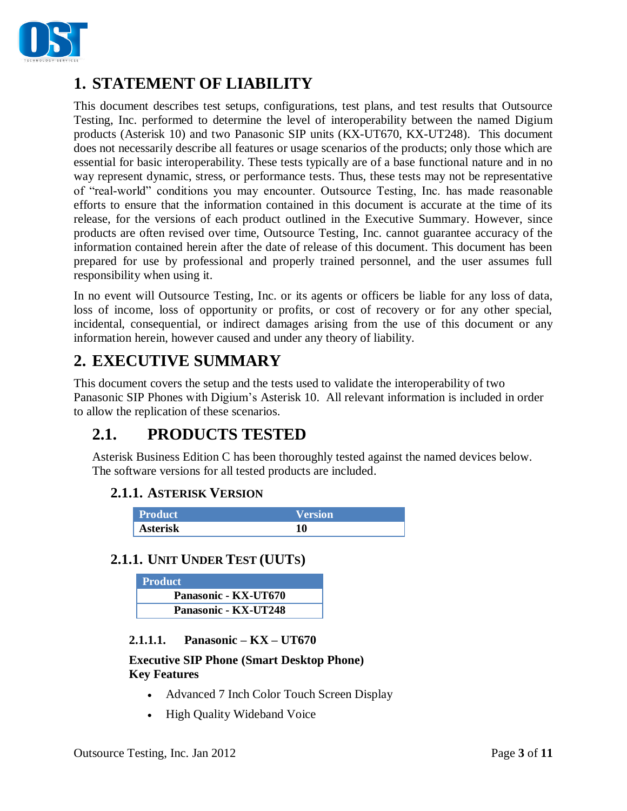

# <span id="page-2-0"></span>**1. STATEMENT OF LIABILITY**

This document describes test setups, configurations, test plans, and test results that Outsource Testing, Inc. performed to determine the level of interoperability between the named Digium products (Asterisk 10) and two Panasonic SIP units (KX-UT670, KX-UT248). This document does not necessarily describe all features or usage scenarios of the products; only those which are essential for basic interoperability. These tests typically are of a base functional nature and in no way represent dynamic, stress, or performance tests. Thus, these tests may not be representative of "real-world" conditions you may encounter. Outsource Testing, Inc. has made reasonable efforts to ensure that the information contained in this document is accurate at the time of its release, for the versions of each product outlined in the Executive Summary. However, since products are often revised over time, Outsource Testing, Inc. cannot guarantee accuracy of the information contained herein after the date of release of this document. This document has been prepared for use by professional and properly trained personnel, and the user assumes full responsibility when using it.

In no event will Outsource Testing, Inc. or its agents or officers be liable for any loss of data, loss of income, loss of opportunity or profits, or cost of recovery or for any other special, incidental, consequential, or indirect damages arising from the use of this document or any information herein, however caused and under any theory of liability.

# <span id="page-2-1"></span>**2. EXECUTIVE SUMMARY**

This document covers the setup and the tests used to validate the interoperability of two Panasonic SIP Phones with Digium's Asterisk 10. All relevant information is included in order to allow the replication of these scenarios.

# <span id="page-2-2"></span>**2.1. PRODUCTS TESTED**

<span id="page-2-3"></span>Asterisk Business Edition C has been thoroughly tested against the named devices below. The software versions for all tested products are included.

## **2.1.1. ASTERISK VERSION**

| <b>Product</b>  | Version' |
|-----------------|----------|
| <b>Asterisk</b> |          |

## <span id="page-2-4"></span>**2.1.1. UNIT UNDER TEST (UUTS)**

| <b>Product</b>       |
|----------------------|
| Panasonic - KX-UT670 |
| Panasonic - KX-UT248 |

**2.1.1.1. Panasonic – KX – UT670**

**Executive SIP Phone (Smart Desktop Phone) Key Features**

- Advanced 7 Inch Color Touch Screen Display
- High Quality Wideband Voice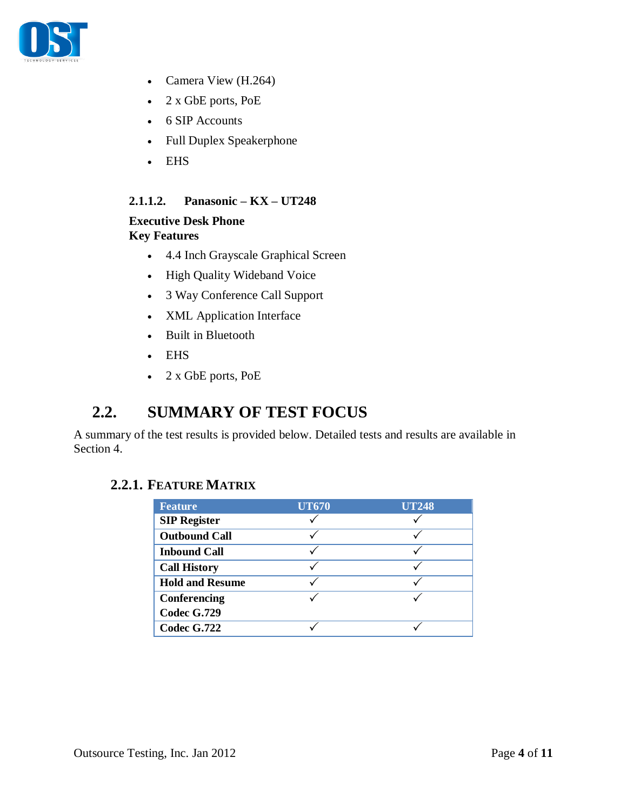

- Camera View (H.264)
- 2 x GbE ports, PoE
- 6 SIP Accounts
- Full Duplex Speakerphone
- EHS

### **2.1.1.2. Panasonic – KX – UT248**

### **Executive Desk Phone Key Features**

- 4.4 Inch Grayscale Graphical Screen
- High Quality Wideband Voice
- 3 Way Conference Call Support
- XML Application Interface
- Built in Bluetooth
- EHS
- 2 x GbE ports, PoE

## <span id="page-3-0"></span>**2.2. SUMMARY OF TEST FOCUS**

A summary of the test results is provided below. Detailed tests and results are available in Section 4.

### <span id="page-3-1"></span>**2.2.1. FEATURE MATRIX**

| <b>Feature</b>         | <b>UT670</b> | <b>UT248</b> |
|------------------------|--------------|--------------|
| <b>SIP Register</b>    |              |              |
| <b>Outbound Call</b>   |              |              |
| <b>Inbound Call</b>    |              |              |
| <b>Call History</b>    |              |              |
| <b>Hold and Resume</b> |              |              |
| Conferencing           |              |              |
| <b>Codec G.729</b>     |              |              |
| Codec G.722            |              |              |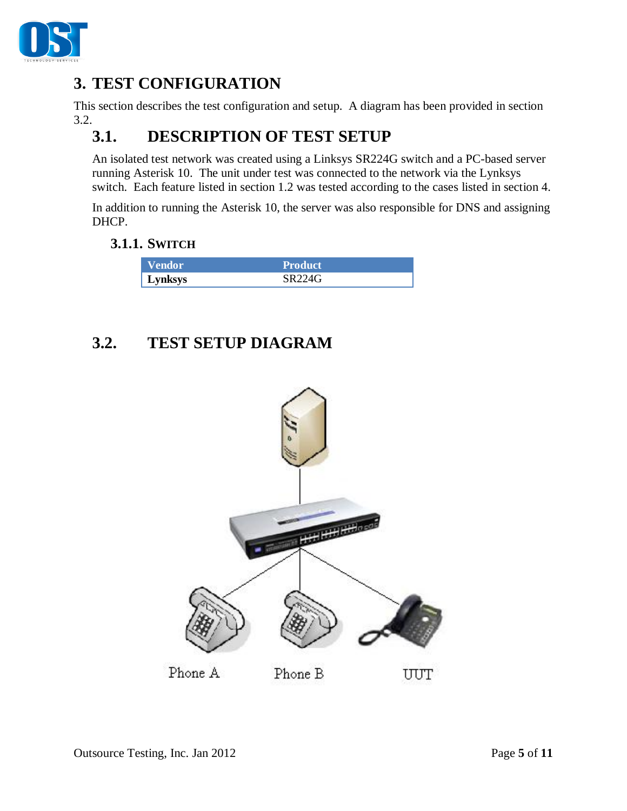

# <span id="page-4-0"></span>**3. TEST CONFIGURATION**

This section describes the test configuration and setup. A diagram has been provided in section 3.2.

# <span id="page-4-1"></span>**3.1. DESCRIPTION OF TEST SETUP**

An isolated test network was created using a Linksys SR224G switch and a PC-based server running Asterisk 10. The unit under test was connected to the network via the Lynksys switch. Each feature listed in section 1.2 was tested according to the cases listed in section 4.

In addition to running the Asterisk 10, the server was also responsible for DNS and assigning DHCP.

### <span id="page-4-2"></span>**3.1.1. SWITCH**

| <b>Vendor</b> | <b>Product</b> |  |
|---------------|----------------|--|
| Lynksys       | SR224G         |  |

# <span id="page-4-3"></span>**3.2. TEST SETUP DIAGRAM**

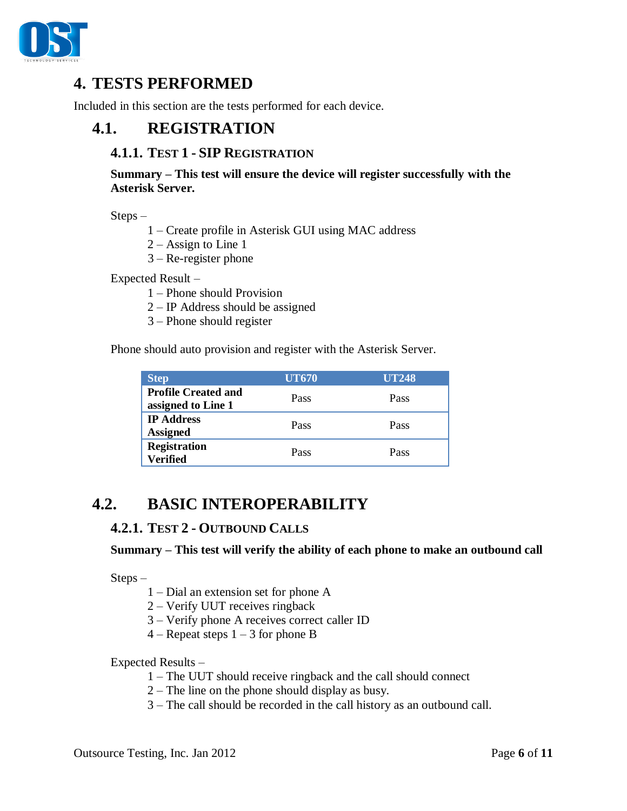

# <span id="page-5-0"></span>**4. TESTS PERFORMED**

<span id="page-5-1"></span>Included in this section are the tests performed for each device.

## <span id="page-5-2"></span>**4.1. REGISTRATION**

### **4.1.1. TEST 1 - SIP REGISTRATION**

**Summary – This test will ensure the device will register successfully with the Asterisk Server.**

Steps –

- 1 Create profile in Asterisk GUI using MAC address
- 2 Assign to Line 1
- 3 Re-register phone

Expected Result –

- 1 Phone should Provision
- 2 IP Address should be assigned
- 3 Phone should register

Phone should auto provision and register with the Asterisk Server.

| <b>Step</b>                                      | <b>UT670</b> | <b>UT248</b> |
|--------------------------------------------------|--------------|--------------|
| <b>Profile Created and</b><br>assigned to Line 1 | Pass         | Pass         |
| <b>IP Address</b><br><b>Assigned</b>             | Pass         | Pass         |
| <b>Registration</b><br><b>Verified</b>           | Pass         | Pass         |

## <span id="page-5-4"></span><span id="page-5-3"></span>**4.2. BASIC INTEROPERABILITY**

## **4.2.1. TEST 2 - OUTBOUND CALLS**

#### **Summary – This test will verify the ability of each phone to make an outbound call**

Steps –

- 1 Dial an extension set for phone A
- 2 Verify UUT receives ringback
- 3 Verify phone A receives correct caller ID
- $4$  Repeat steps  $1 3$  for phone B

- 1 The UUT should receive ringback and the call should connect
- 2 The line on the phone should display as busy.
- 3 The call should be recorded in the call history as an outbound call.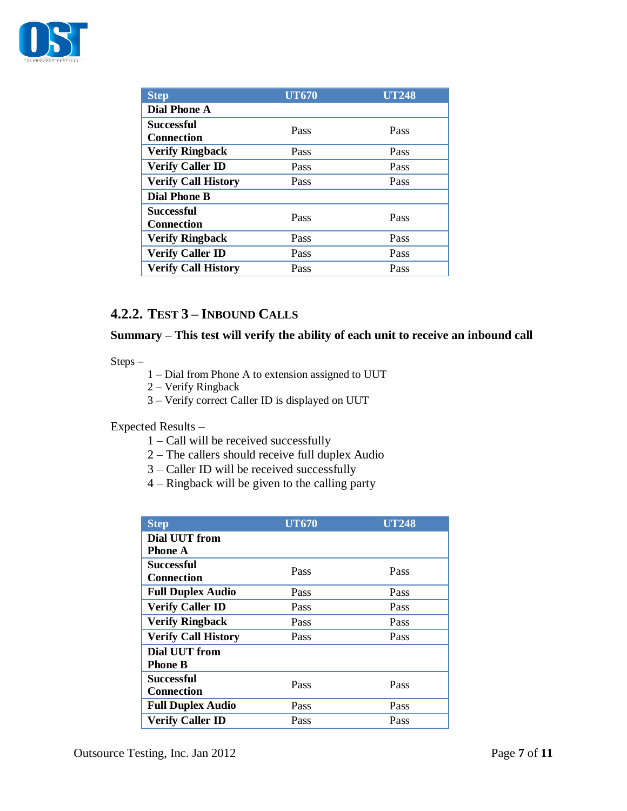

| <b>Step</b>                            | <b>UT670</b> | <b>UT248</b> |  |  |
|----------------------------------------|--------------|--------------|--|--|
| <b>Dial Phone A</b>                    |              |              |  |  |
| Successful<br><b>Connection</b>        | Pass         | Pass         |  |  |
| <b>Verify Ringback</b>                 | Pass         | Pass         |  |  |
| <b>Verify Caller ID</b>                | Pass         | Pass         |  |  |
| <b>Verify Call History</b>             | Pass         | Pass         |  |  |
| <b>Dial Phone B</b>                    |              |              |  |  |
| <b>Successful</b><br><b>Connection</b> | Pass         | Pass         |  |  |
| <b>Verify Ringback</b>                 | Pass         | Pass         |  |  |
| <b>Verify Caller ID</b>                | Pass         | Pass         |  |  |
| <b>Verify Call History</b>             | Pass         | Pass         |  |  |

## <span id="page-6-0"></span>**4.2.2. TEST 3 – INBOUND CALLS**

### **Summary – This test will verify the ability of each unit to receive an inbound call**

Steps –

- 1 Dial from Phone A to extension assigned to UUT
- 2 Verify Ringback
- 3 Verify correct Caller ID is displayed on UUT

- 1 Call will be received successfully
- 2 The callers should receive full duplex Audio
- 3 Caller ID will be received successfully
- 4 Ringback will be given to the calling party

| <b>Step</b>                | <b>UT670</b> | <b>UT248</b> |  |
|----------------------------|--------------|--------------|--|
| <b>Dial UUT from</b>       |              |              |  |
| <b>Phone A</b>             |              |              |  |
| <b>Successful</b>          | Pass         | Pass         |  |
| <b>Connection</b>          |              |              |  |
| <b>Full Duplex Audio</b>   | Pass         | Pass         |  |
| <b>Verify Caller ID</b>    | Pass         | Pass         |  |
| <b>Verify Ringback</b>     | Pass         | Pass         |  |
| <b>Verify Call History</b> | Pass         | Pass         |  |
| Dial UUT from              |              |              |  |
| <b>Phone B</b>             |              |              |  |
| <b>Successful</b>          | Pass         | Pass         |  |
| <b>Connection</b>          |              |              |  |
| <b>Full Duplex Audio</b>   | Pass         | Pass         |  |
| <b>Verify Caller ID</b>    | Pass         | Pass         |  |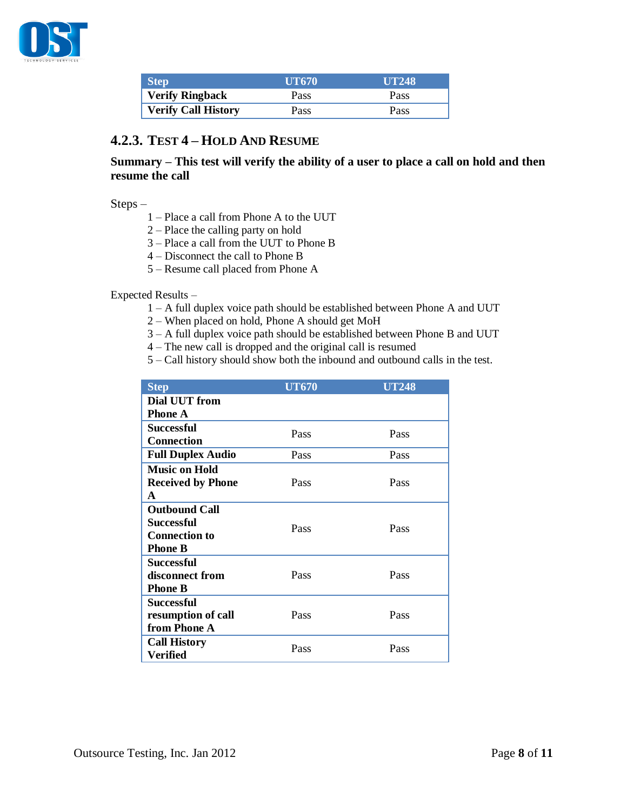

| <b>Step</b>                | <b>UT670</b> | <b>UT248</b> |
|----------------------------|--------------|--------------|
| <b>Verify Ringback</b>     | Pass         | Pass         |
| <b>Verify Call History</b> | Pass         | Pass         |

### <span id="page-7-0"></span>**4.2.3. TEST 4 – HOLD AND RESUME**

### **Summary – This test will verify the ability of a user to place a call on hold and then resume the call**

Steps –

- 1 Place a call from Phone A to the UUT
- 2 Place the calling party on hold
- 3 Place a call from the UUT to Phone B
- 4 Disconnect the call to Phone B
- 5 Resume call placed from Phone A

- 1 A full duplex voice path should be established between Phone A and UUT
- 2 When placed on hold, Phone A should get MoH
- 3 A full duplex voice path should be established between Phone B and UUT
- 4 The new call is dropped and the original call is resumed
- 5 Call history should show both the inbound and outbound calls in the test.

| <b>Step</b>              | <b>UT670</b> | <b>UT248</b> |
|--------------------------|--------------|--------------|
| Dial UUT from            |              |              |
| <b>Phone A</b>           |              |              |
| <b>Successful</b>        | Pass         | Pass         |
| <b>Connection</b>        |              |              |
| <b>Full Duplex Audio</b> | Pass         | Pass         |
| <b>Music on Hold</b>     |              |              |
| <b>Received by Phone</b> | Pass         | Pass         |
| $\mathbf{A}$             |              |              |
| <b>Outbound Call</b>     |              |              |
| <b>Successful</b>        | Pass         | Pass         |
| <b>Connection to</b>     |              |              |
| <b>Phone B</b>           |              |              |
| <b>Successful</b>        |              |              |
| disconnect from          | Pass         | Pass         |
| <b>Phone B</b>           |              |              |
| Successful               |              |              |
| resumption of call       | Pass         | Pass         |
| from Phone A             |              |              |
| <b>Call History</b>      | Pass         | Pass         |
| <b>Verified</b>          |              |              |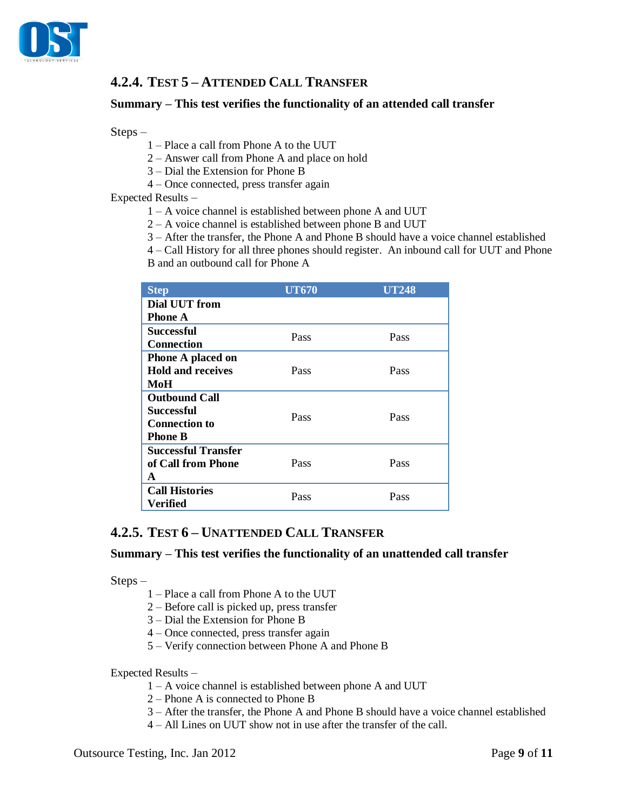

## <span id="page-8-0"></span>**4.2.4. TEST 5 – ATTENDED CALL TRANSFER**

#### **Summary – This test verifies the functionality of an attended call transfer**

Steps –

- 1 Place a call from Phone A to the UUT
- 2 Answer call from Phone A and place on hold
- 3 Dial the Extension for Phone B
- 4 Once connected, press transfer again

Expected Results –

- 1 A voice channel is established between phone A and UUT
- 2 A voice channel is established between phone B and UUT
- 3 After the transfer, the Phone A and Phone B should have a voice channel established

4 – Call History for all three phones should register. An inbound call for UUT and Phone

B and an outbound call for Phone A

| <b>Step</b>                | <b>UT670</b> | UT248 |
|----------------------------|--------------|-------|
| <b>Dial UUT from</b>       |              |       |
| Phone A                    |              |       |
| Successful                 | Pass         | Pass  |
| <b>Connection</b>          |              |       |
| <b>Phone A placed on</b>   |              |       |
| <b>Hold and receives</b>   | Pass         | Pass  |
| MoH                        |              |       |
| <b>Outbound Call</b>       |              |       |
| Successful                 | Pass         | Pass  |
| <b>Connection to</b>       |              |       |
| <b>Phone B</b>             |              |       |
| <b>Successful Transfer</b> |              |       |
| of Call from Phone         | Pass         | Pass  |
| A                          |              |       |
| <b>Call Histories</b>      | Pass         | Pass  |
| Verified                   |              |       |

### <span id="page-8-1"></span>**4.2.5. TEST 6 – UNATTENDED CALL TRANSFER**

#### **Summary – This test verifies the functionality of an unattended call transfer**

Steps –

- 1 Place a call from Phone A to the UUT
- 2 Before call is picked up, press transfer
- 3 Dial the Extension for Phone B
- 4 Once connected, press transfer again
- 5 Verify connection between Phone A and Phone B

- 1 A voice channel is established between phone A and UUT
- 2 Phone A is connected to Phone B
- 3 After the transfer, the Phone A and Phone B should have a voice channel established
- 4 All Lines on UUT show not in use after the transfer of the call.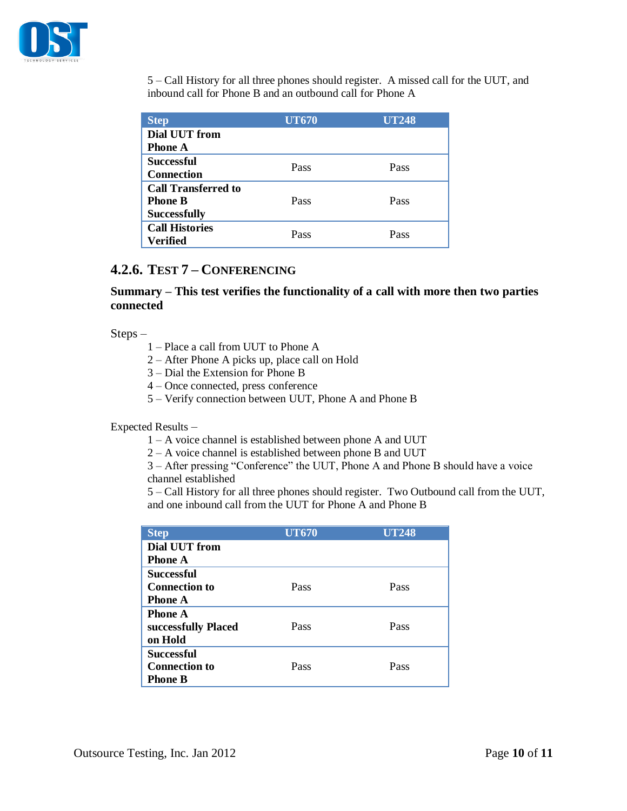

5 – Call History for all three phones should register. A missed call for the UUT, and inbound call for Phone B and an outbound call for Phone A

| <b>Step</b>                | <b>UT670</b> | <b>UT248</b> |
|----------------------------|--------------|--------------|
| Dial UUT from              |              |              |
| <b>Phone A</b>             |              |              |
| <b>Successful</b>          | Pass         | Pass         |
| <b>Connection</b>          |              |              |
| <b>Call Transferred to</b> |              |              |
| <b>Phone B</b>             | Pass         | Pass         |
| <b>Successfully</b>        |              |              |
| <b>Call Histories</b>      | Pass         | Pass         |
| Verified                   |              |              |

## <span id="page-9-0"></span>**4.2.6. TEST 7 – CONFERENCING**

### **Summary – This test verifies the functionality of a call with more then two parties connected**

Steps –

- 1 Place a call from UUT to Phone A
- 2 After Phone A picks up, place call on Hold
- 3 Dial the Extension for Phone B
- 4 Once connected, press conference
- 5 Verify connection between UUT, Phone A and Phone B

#### Expected Results –

- 1 A voice channel is established between phone A and UUT
- 2 A voice channel is established between phone B and UUT

3 – After pressing "Conference" the UUT, Phone A and Phone B should have a voice channel established

5 – Call History for all three phones should register. Two Outbound call from the UUT, and one inbound call from the UUT for Phone A and Phone B

| <b>Step</b>          | <b>UT670</b> | <b>UT248</b> |
|----------------------|--------------|--------------|
| Dial UUT from        |              |              |
| <b>Phone A</b>       |              |              |
| <b>Successful</b>    |              |              |
| <b>Connection to</b> | Pass         | Pass         |
| <b>Phone A</b>       |              |              |
| <b>Phone A</b>       |              |              |
| successfully Placed  | Pass         | Pass         |
| on Hold              |              |              |
| <b>Successful</b>    |              |              |
| <b>Connection to</b> | Pass         | Pass         |
| <b>Phone B</b>       |              |              |